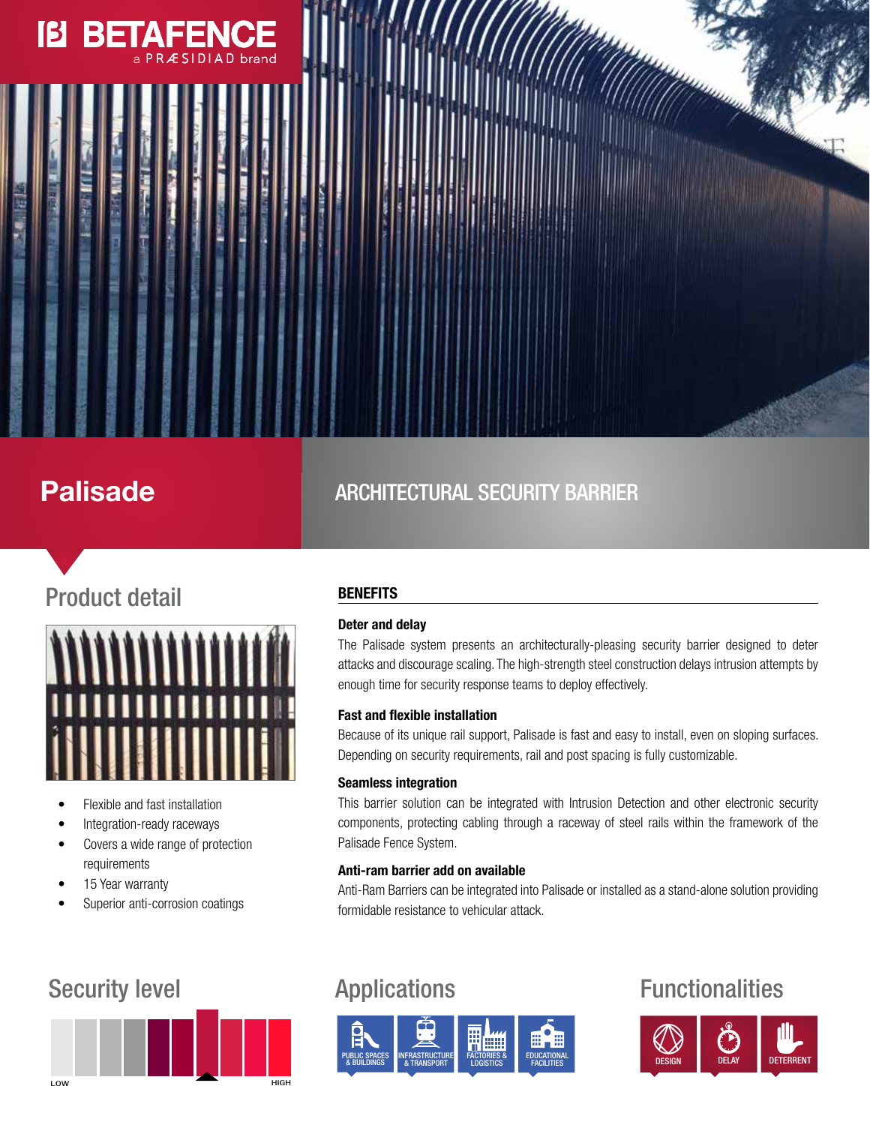# <u> 13</u> BETAFEN R Æ SIDIAD brand

# Palisade ARCHITECTURAL SECURITY BARRIER

# Product detail



- Flexible and fast installation
- Integration-ready raceways
- Covers a wide range of protection requirements
- 15 Year warranty
- Superior anti-corrosion coatings



## **BENEFITS**

## Deter and delay

The Palisade system presents an architecturally-pleasing security barrier designed to deter attacks and discourage scaling. The high-strength steel construction delays intrusion attempts by enough time for security response teams to deploy effectively.

## Fast and flexible installation

Because of its unique rail support, Palisade is fast and easy to install, even on sloping surfaces. Depending on security requirements, rail and post spacing is fully customizable.

## Seamless integration

This barrier solution can be integrated with Intrusion Detection and other electronic security components, protecting cabling through a raceway of steel rails within the framework of the Palisade Fence System.

## Anti-ram barrier add on available

Anti-Ram Barriers can be integrated into Palisade or installed as a stand-alone solution providing formidable resistance to vehicular attack.



## Security level **Applications** Functionalities